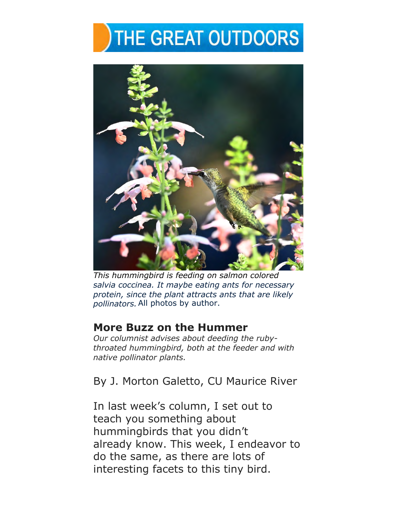## THE GREAT OUTDOORS



*This hummingbird is feeding on salmon colored salvia coccinea. It maybe eating ants for necessary protein, since the plant attracts ants that are likely pollinators.*  All photos by author.

## **More Buzz on the Hummer**

*Our columnist advises about deeding the rubythroated hummingbird, both at the feeder and with native pollinator plants.* 

By J. Morton Galetto, CU Maurice River

In last week's column, I set out to teach you something about hummingbirds that you didn't already know. This week, I endeavor to do the same, as there are lots of interesting facets to this tiny bird.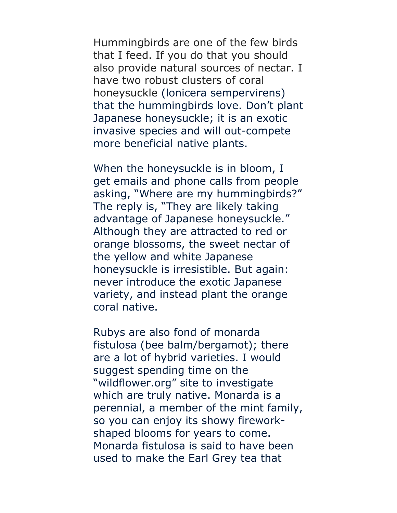Hummingbirds are one of the few birds that I feed. If you do that you should also provide natural sources of nectar. I have two robust clusters of coral honeysuckle (lonicera sempervirens) that the hummingbirds love. Don't plant Japanese honeysuckle; it is an exotic invasive species and will out-compete more beneficial native plants.

When the honeysuckle is in bloom, I get emails and phone calls from people asking, "Where are my hummingbirds?" The reply is, "They are likely taking advantage of Japanese honeysuckle." Although they are attracted to red or orange blossoms, the sweet nectar of the yellow and white Japanese honeysuckle is irresistible. But again: never introduce the exotic Japanese variety, and instead plant the orange coral native.

Rubys are also fond of monarda fistulosa (bee balm/bergamot); there are a lot of hybrid varieties. I would suggest spending time on the "wildflower.org" site to investigate which are truly native. Monarda is a perennial, a member of the mint family, so you can enjoy its showy fireworkshaped blooms for years to come. Monarda fistulosa is said to have been used to make the Earl Grey tea that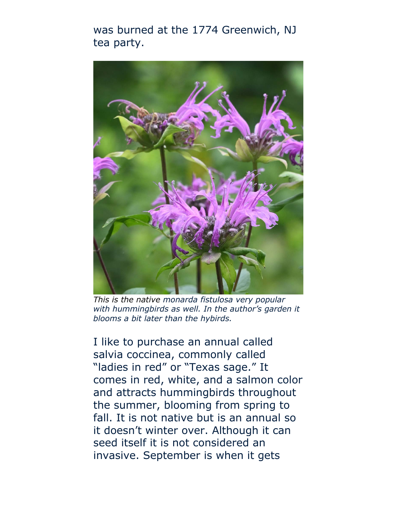was burned at the 1774 Greenwich, NJ tea party.



*This is the native monarda fistulosa very popular with hummingbirds as well. In the author's garden it blooms a bit later than the hybirds.* 

I like to purchase an annual called salvia coccinea, commonly called "ladies in red" or "Texas sage." It comes in red, white, and a salmon color and attracts hummingbirds throughout the summer, blooming from spring to fall. It is not native but is an annual so it doesn't winter over. Although it can seed itself it is not considered an invasive. September is when it gets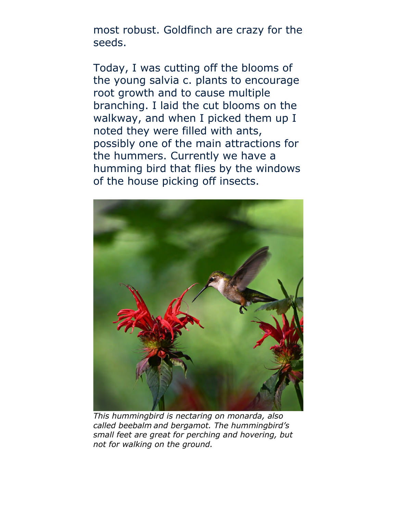most robust. Goldfinch are crazy for the seeds.

Today, I was cutting off the blooms of the young salvia c. plants to encourage root growth and to cause multiple branching. I laid the cut blooms on the walkway, and when I picked them up I noted they were filled with ants, possibly one of the main attractions for the hummers. Currently we have a humming bird that flies by the windows of the house picking off insects.



*This hummingbird is nectaring on monarda, also called beebalm and bergamot. The hummingbird's small feet are great for perching and hovering, but not for walking on the ground.*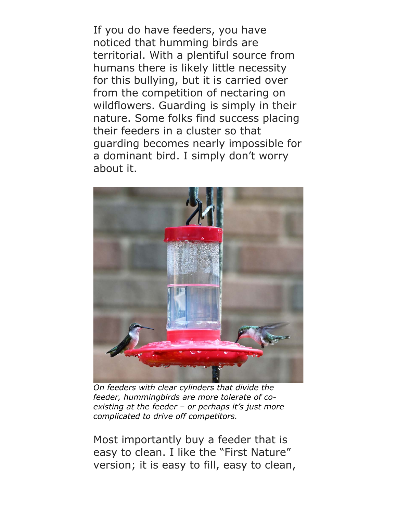If you do have feeders, you have noticed that humming birds are territorial. With a plentiful source from humans there is likely little necessity for this bullying, but it is carried over from the competition of nectaring on wildflowers. Guarding is simply in their nature. Some folks find success placing their feeders in a cluster so that guarding becomes nearly impossible for a dominant bird. I simply don't worry about it.



*On feeders with clear cylinders that divide the feeder, hummingbirds are more tolerate of coexisting at the feeder – or perhaps it's just more complicated to drive off competitors.* 

Most importantly buy a feeder that is easy to clean. I like the "First Nature" version; it is easy to fill, easy to clean,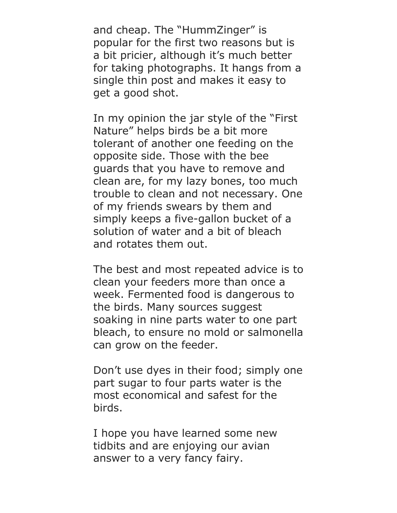and cheap. The "HummZinger" is popular for the first two reasons but is a bit pricier, although it's much better for taking photographs. It hangs from a single thin post and makes it easy to get a good shot.

In my opinion the jar style of the "First Nature" helps birds be a bit more tolerant of another one feeding on the opposite side. Those with the bee guards that you have to remove and clean are, for my lazy bones, too much trouble to clean and not necessary. One of my friends swears by them and simply keeps a five-gallon bucket of a solution of water and a bit of bleach and rotates them out.

The best and most repeated advice is to clean your feeders more than once a week. Fermented food is dangerous to the birds. Many sources suggest soaking in nine parts water to one part bleach, to ensure no mold or salmonella can grow on the feeder.

Don't use dyes in their food; simply one part sugar to four parts water is the most economical and safest for the birds.

I hope you have learned some new tidbits and are enjoying our avian answer to a very fancy fairy.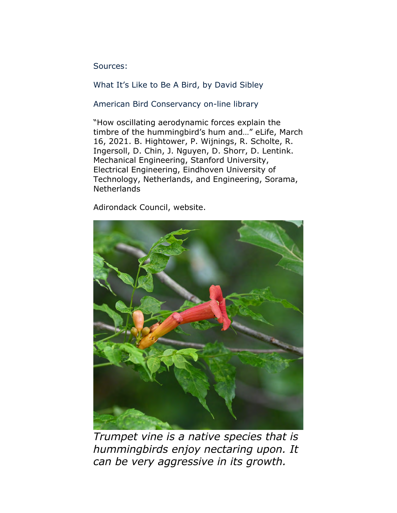Sources:

What It's Like to Be A Bird, by David Sibley

American Bird Conservancy on-line library

"How oscillating aerodynamic forces explain the timbre of the hummingbird's hum and…" eLife, March 16, 2021. B. Hightower, P. Wijnings, R. Scholte, R. Ingersoll, D. Chin, J. Nguyen, D. Shorr, D. Lentink. Mechanical Engineering, Stanford University, Electrical Engineering, Eindhoven University of Technology, Netherlands, and Engineering, Sorama, Netherlands

Adirondack Council, website.



*Trumpet vine is a native species that is hummingbirds enjoy nectaring upon. It can be very aggressive in its growth.*